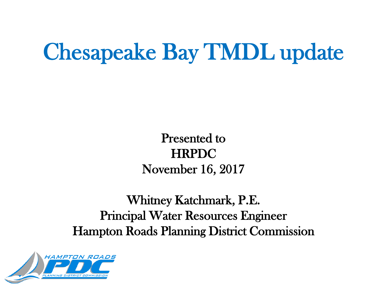## Chesapeake Bay TMDL update

Presented to HRPDC November 16, 2017

Whitney Katchmark, P.E. Principal Water Resources Engineer Hampton Roads Planning District Commission

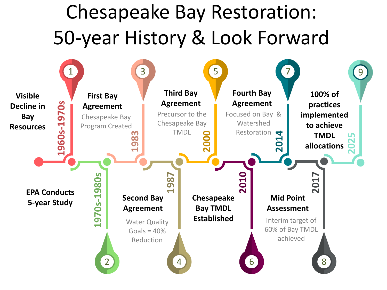## Chesapeake Bay Restoration: 50-year History & Look Forward

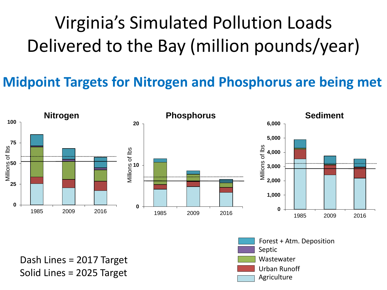#### Virginia's Simulated Pollution Loads Delivered to the Bay (million pounds/year)

#### **Midpoint Targets for Nitrogen and Phosphorus are being met**



Dash Lines = 2017 Target Solid Lines = 2025 Target

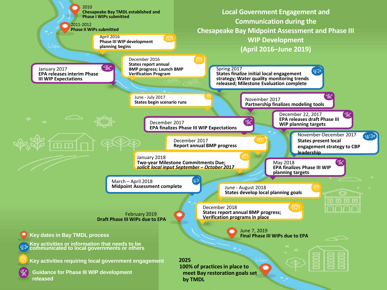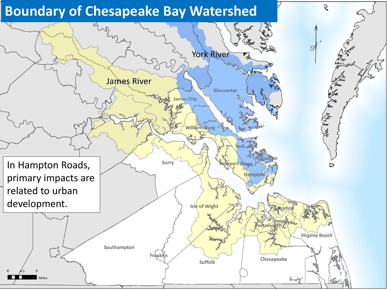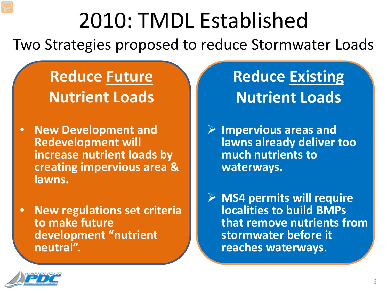## 2010: TMDL Established

Two Strategies proposed to reduce Stormwater Loads

**Reduce Future Nutrient Loads**

- **New Development and Redevelopment will increase nutrient loads by creating impervious area & lawns.**
- **New regulations set criteria to make future development "nutrient neutral".**

#### **Reduce Existing Nutrient Loads**

 **Impervious areas and lawns already deliver too much nutrients to waterways.**

 **MS4 permits will require localities to build BMPs that remove nutrients from stormwater before it reaches waterways**.

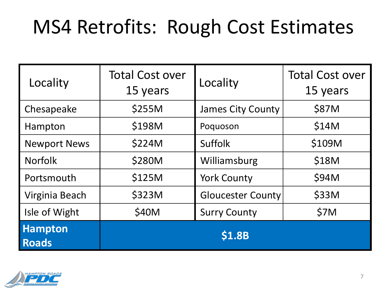### MS4 Retrofits: Rough Cost Estimates

| Locality                       | <b>Total Cost over</b><br>15 years | Locality                 | <b>Total Cost over</b><br>15 years |
|--------------------------------|------------------------------------|--------------------------|------------------------------------|
| Chesapeake                     | \$255M                             | <b>James City County</b> | \$87M                              |
| Hampton                        | \$198M                             | Poquoson                 | \$14M                              |
| <b>Newport News</b>            | \$224M                             | <b>Suffolk</b>           | \$109M                             |
| <b>Norfolk</b>                 | \$280M                             | Williamsburg             | \$18M                              |
| Portsmouth                     | \$125M                             | <b>York County</b>       | \$94M                              |
| Virginia Beach                 | \$323M                             | <b>Gloucester County</b> | \$33M                              |
| Isle of Wight                  | \$40M                              | <b>Surry County</b>      | \$7M                               |
| <b>Hampton</b><br><b>Roads</b> |                                    | \$1.8B                   |                                    |

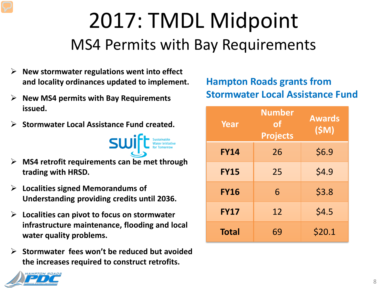### 2017: TMDL Midpoint MS4 Permits with Bay Requirements

- **New stormwater regulations went into effect and locality ordinances updated to implement.**
- **New MS4 permits with Bay Requirements issued.**
- **Stormwater Local Assistance Fund created.**



- **MS4 retrofit requirements can be met through trading with HRSD.**
- **Localities signed Memorandums of Understanding providing credits until 2036.**
- **Localities can pivot to focus on stormwater infrastructure maintenance, flooding and local water quality problems.**
- **Stormwater fees won't be reduced but avoided the increases required to construct retrofits.**

#### **Hampton Roads grants from Stormwater Local Assistance Fund**

| <b>Year</b>  | <b>Number</b><br><b>of</b><br><b>Projects</b> | <b>Awards</b><br>(SM) |
|--------------|-----------------------------------------------|-----------------------|
| <b>FY14</b>  | 26                                            | \$6.9                 |
| <b>FY15</b>  | 25                                            | \$4.9                 |
| <b>FY16</b>  | 6                                             | \$3.8                 |
| <b>FY17</b>  | 12                                            | \$4.5                 |
| <b>Total</b> | 69                                            | \$20.1                |

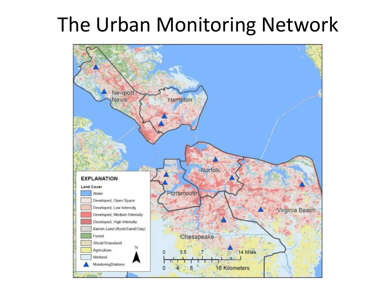## The Urban Monitoring Network

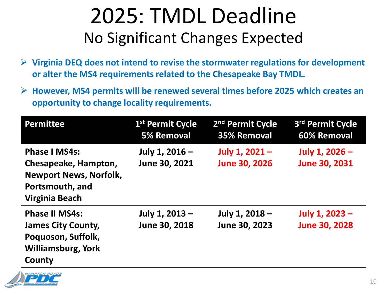#### 2025: TMDL Deadline No Significant Changes Expected

- **Virginia DEQ does not intend to revise the stormwater regulations for development or alter the MS4 requirements related to the Chesapeake Bay TMDL.**
- **However, MS4 permits will be renewed several times before 2025 which creates an opportunity to change locality requirements.**

| <b>Permittee</b>                                                                                                          | 1 <sup>st</sup> Permit Cycle<br><b>5% Removal</b> | 2 <sup>nd</sup> Permit Cycle<br>35% Removal | 3rd Permit Cycle<br>60% Removal          |
|---------------------------------------------------------------------------------------------------------------------------|---------------------------------------------------|---------------------------------------------|------------------------------------------|
| <b>Phase I MS4s:</b><br>Chesapeake, Hampton,<br><b>Newport News, Norfolk,</b><br>Portsmouth, and<br><b>Virginia Beach</b> | July 1, 2016 -<br>June 30, 2021                   | July 1, $2021 -$<br><b>June 30, 2026</b>    | July 1, $2026 -$<br><b>June 30, 2031</b> |
| <b>Phase II MS4s:</b><br><b>James City County,</b><br>Poquoson, Suffolk,<br><b>Williamsburg, York</b><br>County           | July 1, 2013 -<br>June 30, 2018                   | July 1, 2018 -<br>June 30, 2023             | July 1, 2023 -<br><b>June 30, 2028</b>   |

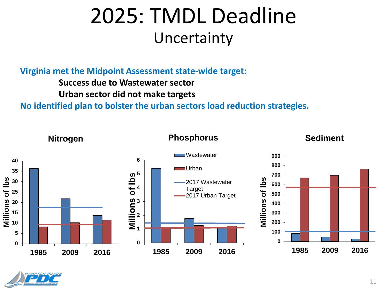#### 2025: TMDL Deadline Uncertainty

**Virginia met the Midpoint Assessment state-wide target:**

**Success due to Wastewater sector**

**Urban sector did not make targets**

**No identified plan to bolster the urban sectors load reduction strategies.**